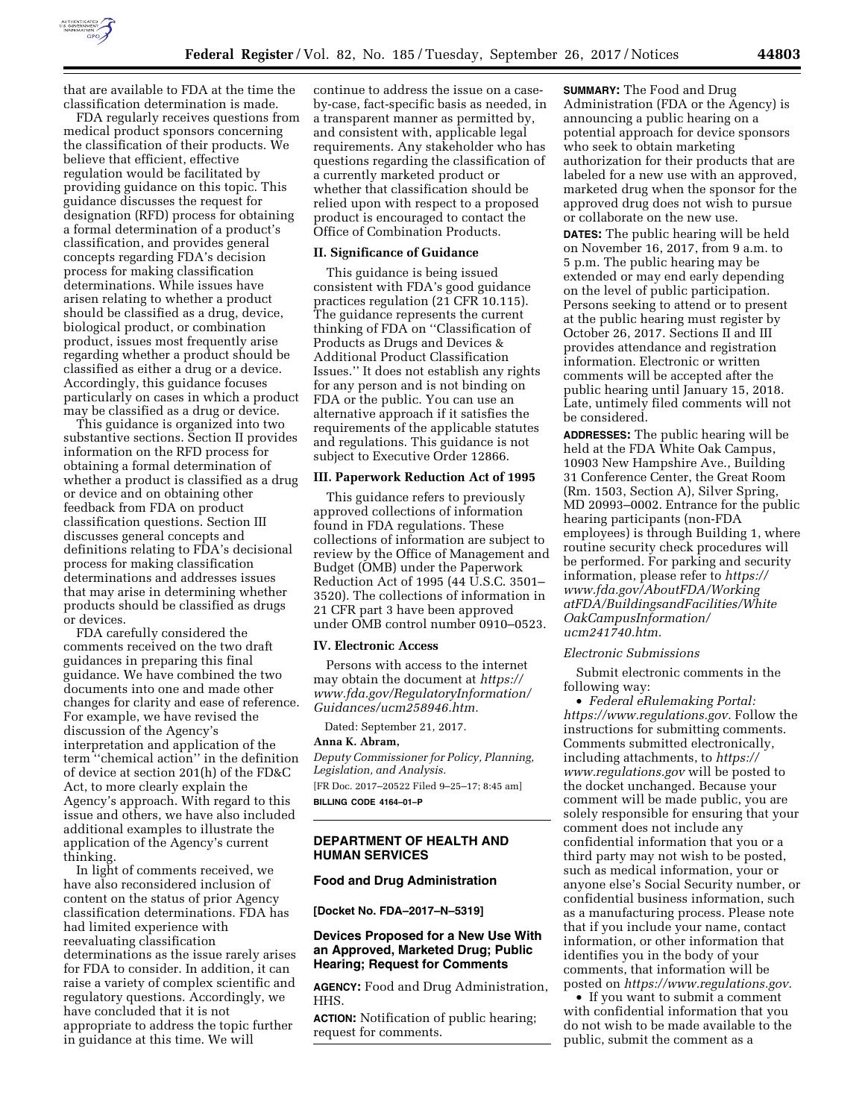

that are available to FDA at the time the classification determination is made.

FDA regularly receives questions from medical product sponsors concerning the classification of their products. We believe that efficient, effective regulation would be facilitated by providing guidance on this topic. This guidance discusses the request for designation (RFD) process for obtaining a formal determination of a product's classification, and provides general concepts regarding FDA's decision process for making classification determinations. While issues have arisen relating to whether a product should be classified as a drug, device, biological product, or combination product, issues most frequently arise regarding whether a product should be classified as either a drug or a device. Accordingly, this guidance focuses particularly on cases in which a product may be classified as a drug or device.

This guidance is organized into two substantive sections. Section II provides information on the RFD process for obtaining a formal determination of whether a product is classified as a drug or device and on obtaining other feedback from FDA on product classification questions. Section III discusses general concepts and definitions relating to FDA's decisional process for making classification determinations and addresses issues that may arise in determining whether products should be classified as drugs or devices.

FDA carefully considered the comments received on the two draft guidances in preparing this final guidance. We have combined the two documents into one and made other changes for clarity and ease of reference. For example, we have revised the discussion of the Agency's interpretation and application of the term ''chemical action'' in the definition of device at section 201(h) of the FD&C Act, to more clearly explain the Agency's approach. With regard to this issue and others, we have also included additional examples to illustrate the application of the Agency's current thinking.

In light of comments received, we have also reconsidered inclusion of content on the status of prior Agency classification determinations. FDA has had limited experience with reevaluating classification determinations as the issue rarely arises for FDA to consider. In addition, it can raise a variety of complex scientific and regulatory questions. Accordingly, we have concluded that it is not appropriate to address the topic further in guidance at this time. We will

continue to address the issue on a caseby-case, fact-specific basis as needed, in a transparent manner as permitted by, and consistent with, applicable legal requirements. Any stakeholder who has questions regarding the classification of a currently marketed product or whether that classification should be relied upon with respect to a proposed product is encouraged to contact the Office of Combination Products.

#### **II. Significance of Guidance**

This guidance is being issued consistent with FDA's good guidance practices regulation (21 CFR 10.115). The guidance represents the current thinking of FDA on ''Classification of Products as Drugs and Devices & Additional Product Classification Issues.'' It does not establish any rights for any person and is not binding on FDA or the public. You can use an alternative approach if it satisfies the requirements of the applicable statutes and regulations. This guidance is not subject to Executive Order 12866.

#### **III. Paperwork Reduction Act of 1995**

This guidance refers to previously approved collections of information found in FDA regulations. These collections of information are subject to review by the Office of Management and Budget (OMB) under the Paperwork Reduction Act of 1995 (44 U.S.C. 3501– 3520). The collections of information in 21 CFR part 3 have been approved under OMB control number 0910–0523.

### **IV. Electronic Access**

Persons with access to the internet may obtain the document at *[https://](https://www.fda.gov/RegulatoryInformation/Guidances/ucm258946.htm) [www.fda.gov/RegulatoryInformation/](https://www.fda.gov/RegulatoryInformation/Guidances/ucm258946.htm) [Guidances/ucm258946.htm.](https://www.fda.gov/RegulatoryInformation/Guidances/ucm258946.htm)* 

Dated: September 21, 2017.

#### **Anna K. Abram,**

*Deputy Commissioner for Policy, Planning, Legislation, and Analysis.*  [FR Doc. 2017–20522 Filed 9–25–17; 8:45 am] **BILLING CODE 4164–01–P** 

## **DEPARTMENT OF HEALTH AND HUMAN SERVICES**

### **Food and Drug Administration**

**[Docket No. FDA–2017–N–5319]** 

## **Devices Proposed for a New Use With an Approved, Marketed Drug; Public Hearing; Request for Comments**

**AGENCY:** Food and Drug Administration, HHS.

**ACTION:** Notification of public hearing; request for comments.

**SUMMARY:** The Food and Drug Administration (FDA or the Agency) is announcing a public hearing on a potential approach for device sponsors who seek to obtain marketing authorization for their products that are labeled for a new use with an approved, marketed drug when the sponsor for the approved drug does not wish to pursue or collaborate on the new use.

**DATES:** The public hearing will be held on November 16, 2017, from 9 a.m. to 5 p.m. The public hearing may be extended or may end early depending on the level of public participation. Persons seeking to attend or to present at the public hearing must register by October 26, 2017. Sections II and III provides attendance and registration information. Electronic or written comments will be accepted after the public hearing until January 15, 2018. Late, untimely filed comments will not be considered.

**ADDRESSES:** The public hearing will be held at the FDA White Oak Campus, 10903 New Hampshire Ave., Building 31 Conference Center, the Great Room (Rm. 1503, Section A), Silver Spring, MD 20993–0002. Entrance for the public hearing participants (non-FDA employees) is through Building 1, where routine security check procedures will be performed. For parking and security information, please refer to *[https://](https://www.fda.gov/AboutFDA/WorkingatFDA/BuildingsandFacilities/WhiteOakCampusInformation/ucm241740.htm) [www.fda.gov/AboutFDA/Working](https://www.fda.gov/AboutFDA/WorkingatFDA/BuildingsandFacilities/WhiteOakCampusInformation/ucm241740.htm) [atFDA/BuildingsandFacilities/White](https://www.fda.gov/AboutFDA/WorkingatFDA/BuildingsandFacilities/WhiteOakCampusInformation/ucm241740.htm) [OakCampusInformation/](https://www.fda.gov/AboutFDA/WorkingatFDA/BuildingsandFacilities/WhiteOakCampusInformation/ucm241740.htm)  [ucm241740.htm.](https://www.fda.gov/AboutFDA/WorkingatFDA/BuildingsandFacilities/WhiteOakCampusInformation/ucm241740.htm)* 

#### *Electronic Submissions*

Submit electronic comments in the following way:

• *Federal eRulemaking Portal: [https://www.regulations.gov.](https://www.regulations.gov)* Follow the instructions for submitting comments. Comments submitted electronically, including attachments, to *[https://](https://www.regulations.gov) [www.regulations.gov](https://www.regulations.gov)* will be posted to the docket unchanged. Because your comment will be made public, you are solely responsible for ensuring that your comment does not include any confidential information that you or a third party may not wish to be posted, such as medical information, your or anyone else's Social Security number, or confidential business information, such as a manufacturing process. Please note that if you include your name, contact information, or other information that identifies you in the body of your comments, that information will be posted on *[https://www.regulations.gov.](https://www.regulations.gov)* 

• If you want to submit a comment with confidential information that you do not wish to be made available to the public, submit the comment as a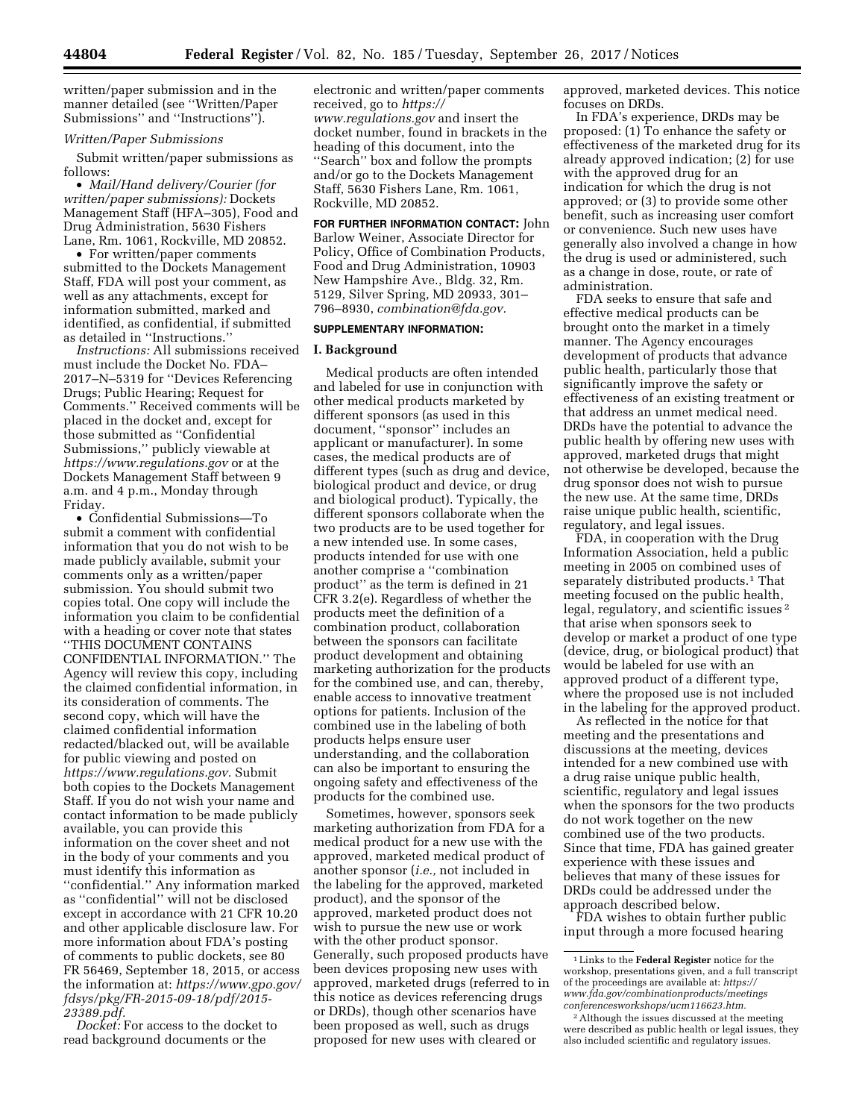written/paper submission and in the manner detailed (see ''Written/Paper Submissions'' and ''Instructions'').

## *Written/Paper Submissions*

Submit written/paper submissions as follows:

• *Mail/Hand delivery/Courier (for written/paper submissions):* Dockets Management Staff (HFA–305), Food and Drug Administration, 5630 Fishers Lane, Rm. 1061, Rockville, MD 20852.

• For written/paper comments submitted to the Dockets Management Staff, FDA will post your comment, as well as any attachments, except for information submitted, marked and identified, as confidential, if submitted as detailed in ''Instructions.''

*Instructions:* All submissions received must include the Docket No. FDA– 2017–N–5319 for ''Devices Referencing Drugs; Public Hearing; Request for Comments.'' Received comments will be placed in the docket and, except for those submitted as ''Confidential Submissions,'' publicly viewable at *<https://www.regulations.gov>* or at the Dockets Management Staff between 9 a.m. and 4 p.m., Monday through Friday.

• Confidential Submissions—To submit a comment with confidential information that you do not wish to be made publicly available, submit your comments only as a written/paper submission. You should submit two copies total. One copy will include the information you claim to be confidential with a heading or cover note that states ''THIS DOCUMENT CONTAINS CONFIDENTIAL INFORMATION.'' The Agency will review this copy, including the claimed confidential information, in its consideration of comments. The second copy, which will have the claimed confidential information redacted/blacked out, will be available for public viewing and posted on *[https://www.regulations.gov.](https://www.regulations.gov)* Submit both copies to the Dockets Management Staff. If you do not wish your name and contact information to be made publicly available, you can provide this information on the cover sheet and not in the body of your comments and you must identify this information as ''confidential.'' Any information marked as ''confidential'' will not be disclosed except in accordance with 21 CFR 10.20 and other applicable disclosure law. For more information about FDA's posting of comments to public dockets, see 80 FR 56469, September 18, 2015, or access the information at: *[https://www.gpo.gov/](https://www.gpo.gov/fdsys/pkg/FR-2015-09-18/pdf/2015-23389.pdf) [fdsys/pkg/FR-2015-09-18/pdf/2015-](https://www.gpo.gov/fdsys/pkg/FR-2015-09-18/pdf/2015-23389.pdf)  [23389.pdf.](https://www.gpo.gov/fdsys/pkg/FR-2015-09-18/pdf/2015-23389.pdf)* 

*Docket:* For access to the docket to read background documents or the

electronic and written/paper comments received, go to *[https://](https://www.regulations.gov) [www.regulations.gov](https://www.regulations.gov)* and insert the docket number, found in brackets in the heading of this document, into the "Search<sup>"</sup> box and follow the prompts and/or go to the Dockets Management Staff, 5630 Fishers Lane, Rm. 1061, Rockville, MD 20852.

**FOR FURTHER INFORMATION CONTACT:** John Barlow Weiner, Associate Director for Policy, Office of Combination Products, Food and Drug Administration, 10903 New Hampshire Ave., Bldg. 32, Rm. 5129, Silver Spring, MD 20933, 301– 796–8930, *[combination@fda.gov.](mailto:combination@fda.gov)* 

#### **SUPPLEMENTARY INFORMATION:**

#### **I. Background**

Medical products are often intended and labeled for use in conjunction with other medical products marketed by different sponsors (as used in this document, ''sponsor'' includes an applicant or manufacturer). In some cases, the medical products are of different types (such as drug and device, biological product and device, or drug and biological product). Typically, the different sponsors collaborate when the two products are to be used together for a new intended use. In some cases, products intended for use with one another comprise a ''combination product'' as the term is defined in 21 CFR 3.2(e). Regardless of whether the products meet the definition of a combination product, collaboration between the sponsors can facilitate product development and obtaining marketing authorization for the products for the combined use, and can, thereby, enable access to innovative treatment options for patients. Inclusion of the combined use in the labeling of both products helps ensure user understanding, and the collaboration can also be important to ensuring the ongoing safety and effectiveness of the products for the combined use.

Sometimes, however, sponsors seek marketing authorization from FDA for a medical product for a new use with the approved, marketed medical product of another sponsor (*i.e.,* not included in the labeling for the approved, marketed product), and the sponsor of the approved, marketed product does not wish to pursue the new use or work with the other product sponsor. Generally, such proposed products have been devices proposing new uses with approved, marketed drugs (referred to in this notice as devices referencing drugs or DRDs), though other scenarios have been proposed as well, such as drugs proposed for new uses with cleared or

approved, marketed devices. This notice focuses on DRDs.

In FDA's experience, DRDs may be proposed: (1) To enhance the safety or effectiveness of the marketed drug for its already approved indication; (2) for use with the approved drug for an indication for which the drug is not approved; or (3) to provide some other benefit, such as increasing user comfort or convenience. Such new uses have generally also involved a change in how the drug is used or administered, such as a change in dose, route, or rate of administration.

FDA seeks to ensure that safe and effective medical products can be brought onto the market in a timely manner. The Agency encourages development of products that advance public health, particularly those that significantly improve the safety or effectiveness of an existing treatment or that address an unmet medical need. DRDs have the potential to advance the public health by offering new uses with approved, marketed drugs that might not otherwise be developed, because the drug sponsor does not wish to pursue the new use. At the same time, DRDs raise unique public health, scientific, regulatory, and legal issues.

FDA, in cooperation with the Drug Information Association, held a public meeting in 2005 on combined uses of separately distributed products.<sup>1</sup> That meeting focused on the public health, legal, regulatory, and scientific issues 2 that arise when sponsors seek to develop or market a product of one type (device, drug, or biological product) that would be labeled for use with an approved product of a different type, where the proposed use is not included in the labeling for the approved product.

As reflected in the notice for that meeting and the presentations and discussions at the meeting, devices intended for a new combined use with a drug raise unique public health, scientific, regulatory and legal issues when the sponsors for the two products do not work together on the new combined use of the two products. Since that time, FDA has gained greater experience with these issues and believes that many of these issues for DRDs could be addressed under the approach described below.

FDA wishes to obtain further public input through a more focused hearing

<sup>1</sup>Links to the **Federal Register** notice for the workshop, presentations given, and a full transcript of the proceedings are available at: *[https://](https://www.fda.gov/combinationproducts/meetingsconferencesworkshops/ucm116623.htm) [www.fda.gov/combinationproducts/meetings](https://www.fda.gov/combinationproducts/meetingsconferencesworkshops/ucm116623.htm) [conferencesworkshops/ucm116623.htm.](https://www.fda.gov/combinationproducts/meetingsconferencesworkshops/ucm116623.htm)* 

<sup>&</sup>lt;sup>2</sup> Although the issues discussed at the meeting were described as public health or legal issues, they also included scientific and regulatory issues.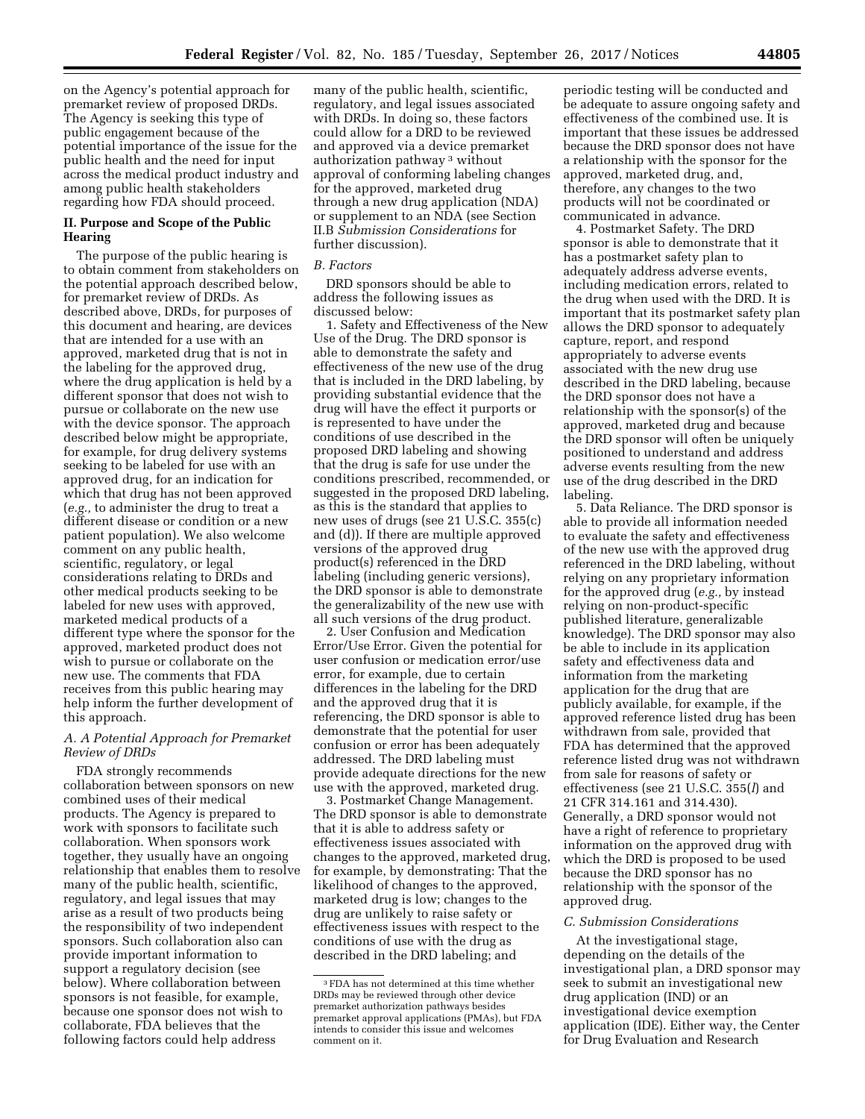on the Agency's potential approach for premarket review of proposed DRDs. The Agency is seeking this type of public engagement because of the potential importance of the issue for the public health and the need for input across the medical product industry and among public health stakeholders regarding how FDA should proceed.

## **II. Purpose and Scope of the Public Hearing**

The purpose of the public hearing is to obtain comment from stakeholders on the potential approach described below, for premarket review of DRDs. As described above, DRDs, for purposes of this document and hearing, are devices that are intended for a use with an approved, marketed drug that is not in the labeling for the approved drug, where the drug application is held by a different sponsor that does not wish to pursue or collaborate on the new use with the device sponsor. The approach described below might be appropriate, for example, for drug delivery systems seeking to be labeled for use with an approved drug, for an indication for which that drug has not been approved (*e.g.,* to administer the drug to treat a different disease or condition or a new patient population). We also welcome comment on any public health, scientific, regulatory, or legal considerations relating to DRDs and other medical products seeking to be labeled for new uses with approved, marketed medical products of a different type where the sponsor for the approved, marketed product does not wish to pursue or collaborate on the new use. The comments that FDA receives from this public hearing may help inform the further development of this approach.

## *A. A Potential Approach for Premarket Review of DRDs*

FDA strongly recommends collaboration between sponsors on new combined uses of their medical products. The Agency is prepared to work with sponsors to facilitate such collaboration. When sponsors work together, they usually have an ongoing relationship that enables them to resolve many of the public health, scientific, regulatory, and legal issues that may arise as a result of two products being the responsibility of two independent sponsors. Such collaboration also can provide important information to support a regulatory decision (see below). Where collaboration between sponsors is not feasible, for example, because one sponsor does not wish to collaborate, FDA believes that the following factors could help address

many of the public health, scientific, regulatory, and legal issues associated with DRDs. In doing so, these factors could allow for a DRD to be reviewed and approved via a device premarket authorization pathway 3 without approval of conforming labeling changes for the approved, marketed drug through a new drug application (NDA) or supplement to an NDA (see Section II.B *Submission Considerations* for further discussion).

## *B. Factors*

DRD sponsors should be able to address the following issues as discussed below:

1. Safety and Effectiveness of the New Use of the Drug. The DRD sponsor is able to demonstrate the safety and effectiveness of the new use of the drug that is included in the DRD labeling, by providing substantial evidence that the drug will have the effect it purports or is represented to have under the conditions of use described in the proposed DRD labeling and showing that the drug is safe for use under the conditions prescribed, recommended, or suggested in the proposed DRD labeling, as this is the standard that applies to new uses of drugs (see 21 U.S.C. 355(c) and (d)). If there are multiple approved versions of the approved drug product(s) referenced in the DRD labeling (including generic versions), the DRD sponsor is able to demonstrate the generalizability of the new use with all such versions of the drug product.

2. User Confusion and Medication Error/Use Error. Given the potential for user confusion or medication error/use error, for example, due to certain differences in the labeling for the DRD and the approved drug that it is referencing, the DRD sponsor is able to demonstrate that the potential for user confusion or error has been adequately addressed. The DRD labeling must provide adequate directions for the new use with the approved, marketed drug.

3. Postmarket Change Management. The DRD sponsor is able to demonstrate that it is able to address safety or effectiveness issues associated with changes to the approved, marketed drug, for example, by demonstrating: That the likelihood of changes to the approved, marketed drug is low; changes to the drug are unlikely to raise safety or effectiveness issues with respect to the conditions of use with the drug as described in the DRD labeling; and

periodic testing will be conducted and be adequate to assure ongoing safety and effectiveness of the combined use. It is important that these issues be addressed because the DRD sponsor does not have a relationship with the sponsor for the approved, marketed drug, and, therefore, any changes to the two products will not be coordinated or communicated in advance.

4. Postmarket Safety. The DRD sponsor is able to demonstrate that it has a postmarket safety plan to adequately address adverse events, including medication errors, related to the drug when used with the DRD. It is important that its postmarket safety plan allows the DRD sponsor to adequately capture, report, and respond appropriately to adverse events associated with the new drug use described in the DRD labeling, because the DRD sponsor does not have a relationship with the sponsor(s) of the approved, marketed drug and because the DRD sponsor will often be uniquely positioned to understand and address adverse events resulting from the new use of the drug described in the DRD labeling.

5. Data Reliance. The DRD sponsor is able to provide all information needed to evaluate the safety and effectiveness of the new use with the approved drug referenced in the DRD labeling, without relying on any proprietary information for the approved drug (*e.g.,* by instead relying on non-product-specific published literature, generalizable knowledge). The DRD sponsor may also be able to include in its application safety and effectiveness data and information from the marketing application for the drug that are publicly available, for example, if the approved reference listed drug has been withdrawn from sale, provided that FDA has determined that the approved reference listed drug was not withdrawn from sale for reasons of safety or effectiveness (see 21 U.S.C. 355(*l*) and 21 CFR 314.161 and 314.430). Generally, a DRD sponsor would not have a right of reference to proprietary information on the approved drug with which the DRD is proposed to be used because the DRD sponsor has no relationship with the sponsor of the approved drug.

## *C. Submission Considerations*

At the investigational stage, depending on the details of the investigational plan, a DRD sponsor may seek to submit an investigational new drug application (IND) or an investigational device exemption application (IDE). Either way, the Center for Drug Evaluation and Research

<sup>3</sup>FDA has not determined at this time whether DRDs may be reviewed through other device premarket authorization pathways besides premarket approval applications (PMAs), but FDA intends to consider this issue and welcomes comment on it.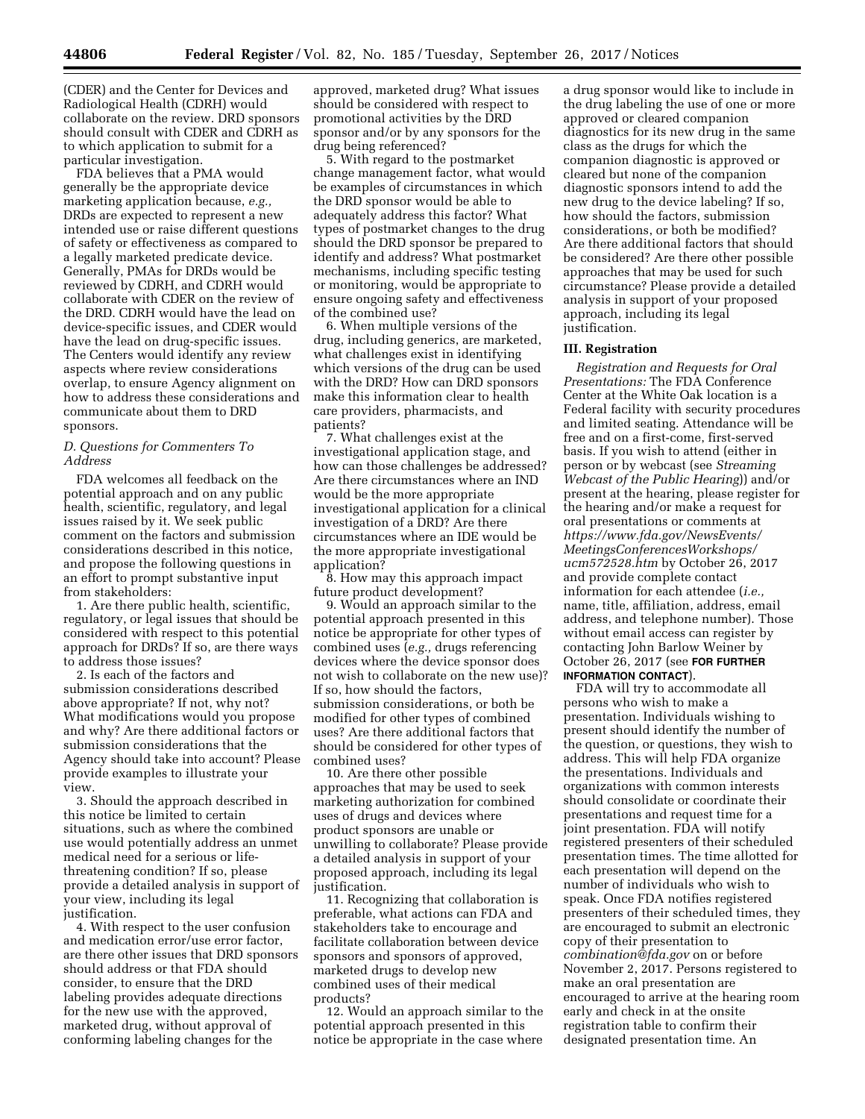(CDER) and the Center for Devices and Radiological Health (CDRH) would collaborate on the review. DRD sponsors should consult with CDER and CDRH as to which application to submit for a particular investigation.

FDA believes that a PMA would generally be the appropriate device marketing application because, *e.g.,*  DRDs are expected to represent a new intended use or raise different questions of safety or effectiveness as compared to a legally marketed predicate device. Generally, PMAs for DRDs would be reviewed by CDRH, and CDRH would collaborate with CDER on the review of the DRD. CDRH would have the lead on device-specific issues, and CDER would have the lead on drug-specific issues. The Centers would identify any review aspects where review considerations overlap, to ensure Agency alignment on how to address these considerations and communicate about them to DRD sponsors.

### *D. Questions for Commenters To Address*

FDA welcomes all feedback on the potential approach and on any public health, scientific, regulatory, and legal issues raised by it. We seek public comment on the factors and submission considerations described in this notice, and propose the following questions in an effort to prompt substantive input from stakeholders:

1. Are there public health, scientific, regulatory, or legal issues that should be considered with respect to this potential approach for DRDs? If so, are there ways to address those issues?

2. Is each of the factors and submission considerations described above appropriate? If not, why not? What modifications would you propose and why? Are there additional factors or submission considerations that the Agency should take into account? Please provide examples to illustrate your view.

3. Should the approach described in this notice be limited to certain situations, such as where the combined use would potentially address an unmet medical need for a serious or lifethreatening condition? If so, please provide a detailed analysis in support of your view, including its legal justification.

4. With respect to the user confusion and medication error/use error factor, are there other issues that DRD sponsors should address or that FDA should consider, to ensure that the DRD labeling provides adequate directions for the new use with the approved, marketed drug, without approval of conforming labeling changes for the

approved, marketed drug? What issues should be considered with respect to promotional activities by the DRD sponsor and/or by any sponsors for the drug being referenced?

5. With regard to the postmarket change management factor, what would be examples of circumstances in which the DRD sponsor would be able to adequately address this factor? What types of postmarket changes to the drug should the DRD sponsor be prepared to identify and address? What postmarket mechanisms, including specific testing or monitoring, would be appropriate to ensure ongoing safety and effectiveness of the combined use?

6. When multiple versions of the drug, including generics, are marketed, what challenges exist in identifying which versions of the drug can be used with the DRD? How can DRD sponsors make this information clear to health care providers, pharmacists, and patients?

7. What challenges exist at the investigational application stage, and how can those challenges be addressed? Are there circumstances where an IND would be the more appropriate investigational application for a clinical investigation of a DRD? Are there circumstances where an IDE would be the more appropriate investigational application?

8. How may this approach impact future product development?

9. Would an approach similar to the potential approach presented in this notice be appropriate for other types of combined uses (*e.g.,* drugs referencing devices where the device sponsor does not wish to collaborate on the new use)? If so, how should the factors, submission considerations, or both be modified for other types of combined uses? Are there additional factors that should be considered for other types of combined uses?

10. Are there other possible approaches that may be used to seek marketing authorization for combined uses of drugs and devices where product sponsors are unable or unwilling to collaborate? Please provide a detailed analysis in support of your proposed approach, including its legal justification.

11. Recognizing that collaboration is preferable, what actions can FDA and stakeholders take to encourage and facilitate collaboration between device sponsors and sponsors of approved, marketed drugs to develop new combined uses of their medical products?

12. Would an approach similar to the potential approach presented in this notice be appropriate in the case where a drug sponsor would like to include in the drug labeling the use of one or more approved or cleared companion diagnostics for its new drug in the same class as the drugs for which the companion diagnostic is approved or cleared but none of the companion diagnostic sponsors intend to add the new drug to the device labeling? If so, how should the factors, submission considerations, or both be modified? Are there additional factors that should be considered? Are there other possible approaches that may be used for such circumstance? Please provide a detailed analysis in support of your proposed approach, including its legal justification.

#### **III. Registration**

*Registration and Requests for Oral Presentations:* The FDA Conference Center at the White Oak location is a Federal facility with security procedures and limited seating. Attendance will be free and on a first-come, first-served basis. If you wish to attend (either in person or by webcast (see *Streaming Webcast of the Public Hearing*)) and/or present at the hearing, please register for the hearing and/or make a request for oral presentations or comments at *[https://www.fda.gov/NewsEvents/](https://www.fda.gov/NewsEvents/MeetingsConferencesWorkshops/ucm572528.htm) [MeetingsConferencesWorkshops/](https://www.fda.gov/NewsEvents/MeetingsConferencesWorkshops/ucm572528.htm)  [ucm572528.htm](https://www.fda.gov/NewsEvents/MeetingsConferencesWorkshops/ucm572528.htm)* by October 26, 2017 and provide complete contact information for each attendee (*i.e.,*  name, title, affiliation, address, email address, and telephone number). Those without email access can register by contacting John Barlow Weiner by October 26, 2017 (see **FOR FURTHER INFORMATION CONTACT**).

FDA will try to accommodate all persons who wish to make a presentation. Individuals wishing to present should identify the number of the question, or questions, they wish to address. This will help FDA organize the presentations. Individuals and organizations with common interests should consolidate or coordinate their presentations and request time for a joint presentation. FDA will notify registered presenters of their scheduled presentation times. The time allotted for each presentation will depend on the number of individuals who wish to speak. Once FDA notifies registered presenters of their scheduled times, they are encouraged to submit an electronic copy of their presentation to *[combination@fda.gov](mailto:combination@fda.gov)* on or before November 2, 2017. Persons registered to make an oral presentation are encouraged to arrive at the hearing room early and check in at the onsite registration table to confirm their designated presentation time. An